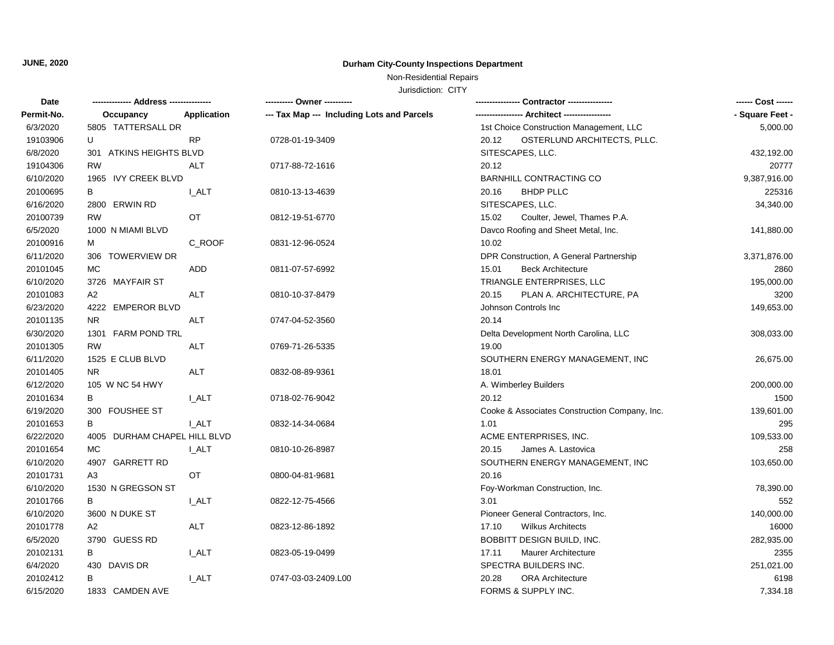## **JUNE, 2020 Durham City-County Inspections Department**

Non-Residential Repairs

Jurisdiction: CITY

| Date       |                              | ---------- Owner ----------                |                                               |                 |
|------------|------------------------------|--------------------------------------------|-----------------------------------------------|-----------------|
| Permit-No. | Application<br>Occupancy     | --- Tax Map --- Including Lots and Parcels | --- Architect -----------------               | - Square Feet - |
| 6/3/2020   | 5805 TATTERSALL DR           |                                            | 1st Choice Construction Management, LLC       | 5,000.00        |
| 19103906   | U<br><b>RP</b>               | 0728-01-19-3409                            | 20.12<br>OSTERLUND ARCHITECTS, PLLC.          |                 |
| 6/8/2020   | 301 ATKINS HEIGHTS BLVD      |                                            | SITESCAPES, LLC.                              | 432,192.00      |
| 19104306   | <b>RW</b><br>ALT             | 0717-88-72-1616                            | 20.12                                         | 20777           |
| 6/10/2020  | 1965 IVY CREEK BLVD          |                                            | <b>BARNHILL CONTRACTING CO</b>                | 9,387,916.00    |
| 20100695   | В<br><b>L_ALT</b>            | 0810-13-13-4639                            | <b>BHDP PLLC</b><br>20.16                     | 225316          |
| 6/16/2020  | 2800 ERWIN RD                |                                            | SITESCAPES, LLC.                              | 34,340.00       |
| 20100739   | <b>RW</b><br>OT.             | 0812-19-51-6770                            | 15.02<br>Coulter, Jewel, Thames P.A.          |                 |
| 6/5/2020   | 1000 N MIAMI BLVD            |                                            | Davco Roofing and Sheet Metal, Inc.           | 141,880.00      |
| 20100916   | C_ROOF<br>м                  | 0831-12-96-0524                            | 10.02                                         |                 |
| 6/11/2020  | 306 TOWERVIEW DR             |                                            | DPR Construction, A General Partnership       | 3,371,876.00    |
| 20101045   | МC<br>ADD                    | 0811-07-57-6992                            | 15.01<br><b>Beck Architecture</b>             | 2860            |
| 6/10/2020  | 3726 MAYFAIR ST              |                                            | TRIANGLE ENTERPRISES, LLC                     | 195,000.00      |
| 20101083   | A2<br><b>ALT</b>             | 0810-10-37-8479                            | 20.15<br>PLAN A. ARCHITECTURE, PA             | 3200            |
| 6/23/2020  | 4222 EMPEROR BLVD            |                                            | Johnson Controls Inc                          | 149,653.00      |
| 20101135   | <b>ALT</b><br>NR.            | 0747-04-52-3560                            | 20.14                                         |                 |
| 6/30/2020  | 1301 FARM POND TRL           |                                            | Delta Development North Carolina, LLC         | 308,033.00      |
| 20101305   | <b>RW</b><br><b>ALT</b>      | 0769-71-26-5335                            | 19.00                                         |                 |
| 6/11/2020  | 1525 E CLUB BLVD             |                                            | SOUTHERN ENERGY MANAGEMENT, INC               | 26,675.00       |
| 20101405   | <b>ALT</b><br>NR.            | 0832-08-89-9361                            | 18.01                                         |                 |
| 6/12/2020  | 105 W NC 54 HWY              |                                            | A. Wimberley Builders                         | 200,000.00      |
| 20101634   | B<br>I ALT                   | 0718-02-76-9042                            | 20.12                                         | 1500            |
| 6/19/2020  | 300 FOUSHEE ST               |                                            | Cooke & Associates Construction Company, Inc. | 139,601.00      |
| 20101653   | I ALT<br>В                   | 0832-14-34-0684                            | 1.01                                          | 295             |
| 6/22/2020  | 4005 DURHAM CHAPEL HILL BLVD |                                            | ACME ENTERPRISES, INC.                        | 109,533.00      |
| 20101654   | MC.<br><b>L_ALT</b>          | 0810-10-26-8987                            | 20.15<br>James A. Lastovica                   | 258             |
| 6/10/2020  | 4907 GARRETT RD              |                                            | SOUTHERN ENERGY MANAGEMENT, INC               | 103,650.00      |
| 20101731   | A3<br>OT                     | 0800-04-81-9681                            | 20.16                                         |                 |
| 6/10/2020  | 1530 N GREGSON ST            |                                            | Foy-Workman Construction, Inc.                | 78,390.00       |
| 20101766   | В<br><b>L_ALT</b>            | 0822-12-75-4566                            | 3.01                                          | 552             |
| 6/10/2020  | 3600 N DUKE ST               |                                            | Pioneer General Contractors, Inc.             | 140,000.00      |
| 20101778   | ALT<br>A <sub>2</sub>        | 0823-12-86-1892                            | 17.10<br><b>Wilkus Architects</b>             | 16000           |
| 6/5/2020   | 3790 GUESS RD                |                                            | BOBBITT DESIGN BUILD, INC.                    | 282,935.00      |
| 20102131   | <b>I_ALT</b><br>В            | 0823-05-19-0499                            | 17.11<br>Maurer Architecture                  | 2355            |
| 6/4/2020   | 430 DAVIS DR                 |                                            | SPECTRA BUILDERS INC.                         | 251,021.00      |
| 20102412   | <b>LALT</b><br>В             | 0747-03-03-2409.L00                        | 20.28<br><b>ORA Architecture</b>              | 6198            |
| 6/15/2020  | 1833 CAMDEN AVE              |                                            | FORMS & SUPPLY INC.                           | 7,334.18        |